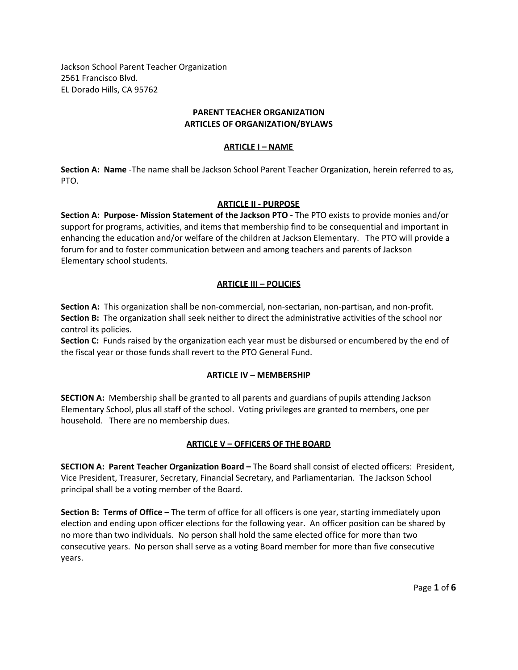Jackson School Parent Teacher Organization 2561 Francisco Blvd. EL Dorado Hills, CA 95762

## **PARENT TEACHER ORGANIZATION ARTICLES OF ORGANIZATION/BYLAWS**

## **ARTICLE I – NAME**

**Section A: Name** -The name shall be Jackson School Parent Teacher Organization, herein referred to as, PTO.

## **ARTICLE II - PURPOSE**

**Section A: Purpose- Mission Statement of the Jackson PTO -** The PTO exists to provide monies and/or support for programs, activities, and items that membership find to be consequential and important in enhancing the education and/or welfare of the children at Jackson Elementary. The PTO will provide a forum for and to foster communication between and among teachers and parents of Jackson Elementary school students.

# **ARTICLE III – POLICIES**

**Section A:** This organization shall be non-commercial, non-sectarian, non-partisan, and non-profit. **Section B:** The organization shall seek neither to direct the administrative activities of the school nor control its policies.

**Section C:** Funds raised by the organization each year must be disbursed or encumbered by the end of the fiscal year or those funds shall revert to the PTO General Fund.

## **ARTICLE IV – MEMBERSHIP**

**SECTION A:** Membership shall be granted to all parents and guardians of pupils attending Jackson Elementary School, plus all staff of the school. Voting privileges are granted to members, one per household. There are no membership dues.

# **ARTICLE V – OFFICERS OF THE BOARD**

**SECTION A: Parent Teacher Organization Board –** The Board shall consist of elected officers: President, Vice President, Treasurer, Secretary, Financial Secretary, and Parliamentarian. The Jackson School principal shall be a voting member of the Board.

**Section B: Terms of Office** – The term of office for all officers is one year, starting immediately upon election and ending upon officer elections for the following year. An officer position can be shared by no more than two individuals. No person shall hold the same elected office for more than two consecutive years. No person shall serve as a voting Board member for more than five consecutive years.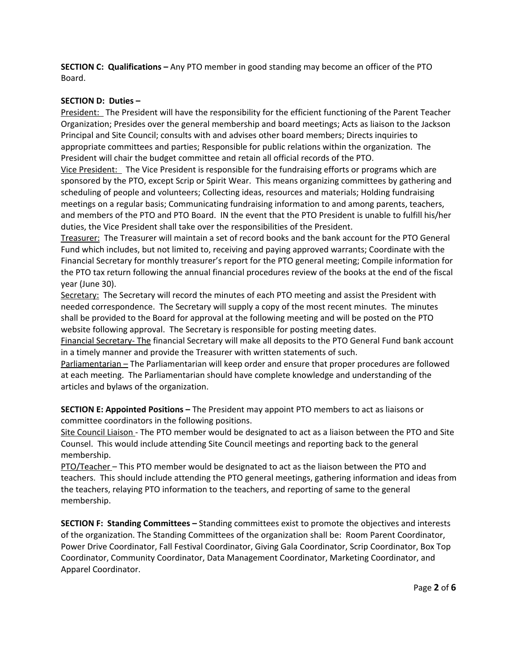**SECTION C: Qualifications –** Any PTO member in good standing may become an officer of the PTO Board.

## **SECTION D: Duties –**

President: The President will have the responsibility for the efficient functioning of the Parent Teacher Organization; Presides over the general membership and board meetings; Acts as liaison to the Jackson Principal and Site Council; consults with and advises other board members; Directs inquiries to appropriate committees and parties; Responsible for public relations within the organization. The President will chair the budget committee and retain all official records of the PTO.

Vice President: The Vice President is responsible for the fundraising efforts or programs which are sponsored by the PTO, except Scrip or Spirit Wear. This means organizing committees by gathering and scheduling of people and volunteers; Collecting ideas, resources and materials; Holding fundraising meetings on a regular basis; Communicating fundraising information to and among parents, teachers, and members of the PTO and PTO Board. IN the event that the PTO President is unable to fulfill his/her duties, the Vice President shall take over the responsibilities of the President.

Treasurer: The Treasurer will maintain a set of record books and the bank account for the PTO General Fund which includes, but not limited to, receiving and paying approved warrants; Coordinate with the Financial Secretary for monthly treasurer's report for the PTO general meeting; Compile information for the PTO tax return following the annual financial procedures review of the books at the end of the fiscal year (June 30).

Secretary: The Secretary will record the minutes of each PTO meeting and assist the President with needed correspondence. The Secretary will supply a copy of the most recent minutes. The minutes shall be provided to the Board for approval at the following meeting and will be posted on the PTO website following approval. The Secretary is responsible for posting meeting dates.

Financial Secretary- The financial Secretary will make all deposits to the PTO General Fund bank account in a timely manner and provide the Treasurer with written statements of such.

Parliamentarian – The Parliamentarian will keep order and ensure that proper procedures are followed at each meeting. The Parliamentarian should have complete knowledge and understanding of the articles and bylaws of the organization.

**SECTION E: Appointed Positions –** The President may appoint PTO members to act as liaisons or committee coordinators in the following positions.

Site Council Liaison - The PTO member would be designated to act as a liaison between the PTO and Site Counsel. This would include attending Site Council meetings and reporting back to the general membership.

PTO/Teacher – This PTO member would be designated to act as the liaison between the PTO and teachers. This should include attending the PTO general meetings, gathering information and ideas from the teachers, relaying PTO information to the teachers, and reporting of same to the general membership.

**SECTION F: Standing Committees –** Standing committees exist to promote the objectives and interests of the organization. The Standing Committees of the organization shall be: Room Parent Coordinator, Power Drive Coordinator, Fall Festival Coordinator, Giving Gala Coordinator, Scrip Coordinator, Box Top Coordinator, Community Coordinator, Data Management Coordinator, Marketing Coordinator, and Apparel Coordinator.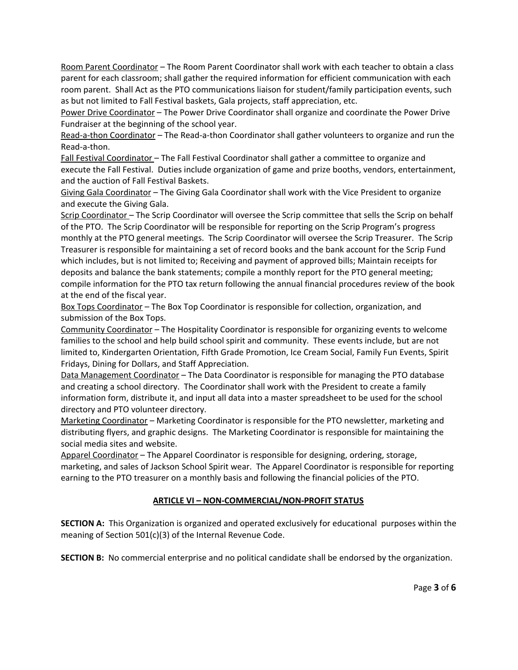Room Parent Coordinator – The Room Parent Coordinator shall work with each teacher to obtain a class parent for each classroom; shall gather the required information for efficient communication with each room parent. Shall Act as the PTO communications liaison for student/family participation events, such as but not limited to Fall Festival baskets, Gala projects, staff appreciation, etc.

Power Drive Coordinator – The Power Drive Coordinator shall organize and coordinate the Power Drive Fundraiser at the beginning of the school year.

Read-a-thon Coordinator - The Read-a-thon Coordinator shall gather volunteers to organize and run the Read-a-thon.

Fall Festival Coordinator – The Fall Festival Coordinator shall gather a committee to organize and execute the Fall Festival. Duties include organization of game and prize booths, vendors, entertainment, and the auction of Fall Festival Baskets.

Giving Gala Coordinator – The Giving Gala Coordinator shall work with the Vice President to organize and execute the Giving Gala.

Scrip Coordinator – The Scrip Coordinator will oversee the Scrip committee that sells the Scrip on behalf of the PTO. The Scrip Coordinator will be responsible for reporting on the Scrip Program's progress monthly at the PTO general meetings. The Scrip Coordinator will oversee the Scrip Treasurer. The Scrip Treasurer is responsible for maintaining a set of record books and the bank account for the Scrip Fund which includes, but is not limited to; Receiving and payment of approved bills; Maintain receipts for deposits and balance the bank statements; compile a monthly report for the PTO general meeting; compile information for the PTO tax return following the annual financial procedures review of the book at the end of the fiscal year.

Box Tops Coordinator – The Box Top Coordinator is responsible for collection, organization, and submission of the Box Tops.

Community Coordinator – The Hospitality Coordinator is responsible for organizing events to welcome families to the school and help build school spirit and community. These events include, but are not limited to, Kindergarten Orientation, Fifth Grade Promotion, Ice Cream Social, Family Fun Events, Spirit Fridays, Dining for Dollars, and Staff Appreciation.

Data Management Coordinator – The Data Coordinator is responsible for managing the PTO database and creating a school directory. The Coordinator shall work with the President to create a family information form, distribute it, and input all data into a master spreadsheet to be used for the school directory and PTO volunteer directory.

Marketing Coordinator – Marketing Coordinator is responsible for the PTO newsletter, marketing and distributing flyers, and graphic designs. The Marketing Coordinator is responsible for maintaining the social media sites and website.

Apparel Coordinator – The Apparel Coordinator is responsible for designing, ordering, storage, marketing, and sales of Jackson School Spirit wear. The Apparel Coordinator is responsible for reporting earning to the PTO treasurer on a monthly basis and following the financial policies of the PTO.

## **ARTICLE VI – NON-COMMERCIAL/NON-PROFIT STATUS**

**SECTION A:** This Organization is organized and operated exclusively for educational purposes within the meaning of Section 501(c)(3) of the Internal Revenue Code.

**SECTION B:** No commercial enterprise and no political candidate shall be endorsed by the organization.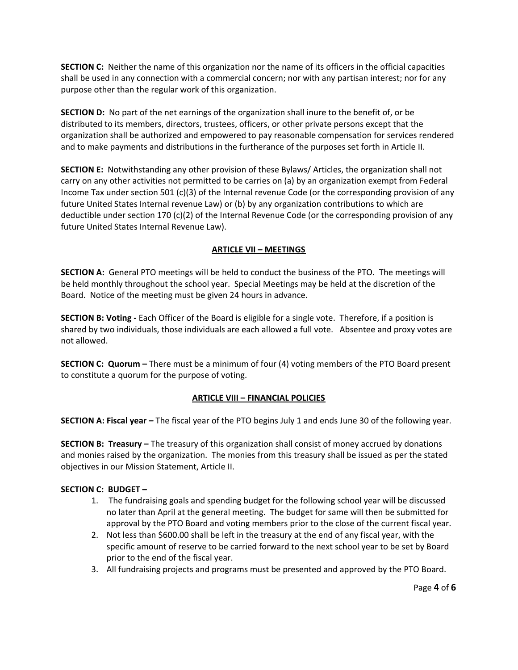**SECTION C:** Neither the name of this organization nor the name of its officers in the official capacities shall be used in any connection with a commercial concern; nor with any partisan interest; nor for any purpose other than the regular work of this organization.

**SECTION D:** No part of the net earnings of the organization shall inure to the benefit of, or be distributed to its members, directors, trustees, officers, or other private persons except that the organization shall be authorized and empowered to pay reasonable compensation for services rendered and to make payments and distributions in the furtherance of the purposes set forth in Article II.

**SECTION E:** Notwithstanding any other provision of these Bylaws/ Articles, the organization shall not carry on any other activities not permitted to be carries on (a) by an organization exempt from Federal Income Tax under section 501 (c)(3) of the Internal revenue Code (or the corresponding provision of any future United States Internal revenue Law) or (b) by any organization contributions to which are deductible under section 170 (c)(2) of the Internal Revenue Code (or the corresponding provision of any future United States Internal Revenue Law).

## **ARTICLE VII – MEETINGS**

**SECTION A:** General PTO meetings will be held to conduct the business of the PTO. The meetings will be held monthly throughout the school year. Special Meetings may be held at the discretion of the Board. Notice of the meeting must be given 24 hours in advance.

**SECTION B: Voting -** Each Officer of the Board is eligible for a single vote. Therefore, if a position is shared by two individuals, those individuals are each allowed a full vote. Absentee and proxy votes are not allowed.

**SECTION C: Quorum –** There must be a minimum of four (4) voting members of the PTO Board present to constitute a quorum for the purpose of voting.

## **ARTICLE VIII – FINANCIAL POLICIES**

**SECTION A: Fiscal year –** The fiscal year of the PTO begins July 1 and ends June 30 of the following year.

**SECTION B: Treasury –** The treasury of this organization shall consist of money accrued by donations and monies raised by the organization. The monies from this treasury shall be issued as per the stated objectives in our Mission Statement, Article II.

## **SECTION C: BUDGET –**

- 1. The fundraising goals and spending budget for the following school year will be discussed no later than April at the general meeting. The budget for same will then be submitted for approval by the PTO Board and voting members prior to the close of the current fiscal year.
- 2. Not less than \$600.00 shall be left in the treasury at the end of any fiscal year, with the specific amount of reserve to be carried forward to the next school year to be set by Board prior to the end of the fiscal year.
- 3. All fundraising projects and programs must be presented and approved by the PTO Board.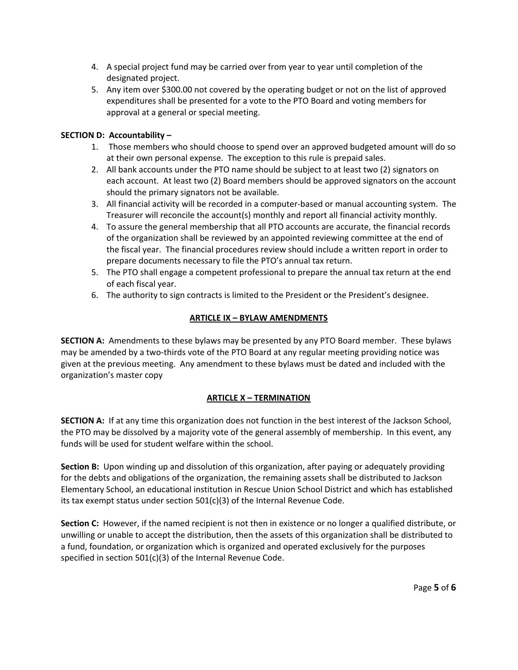- 4. A special project fund may be carried over from year to year until completion of the designated project.
- 5. Any item over \$300.00 not covered by the operating budget or not on the list of approved expenditures shall be presented for a vote to the PTO Board and voting members for approval at a general or special meeting.

# **SECTION D: Accountability –**

- 1. Those members who should choose to spend over an approved budgeted amount will do so at their own personal expense. The exception to this rule is prepaid sales.
- 2. All bank accounts under the PTO name should be subject to at least two (2) signators on each account. At least two (2) Board members should be approved signators on the account should the primary signators not be available.
- 3. All financial activity will be recorded in a computer-based or manual accounting system. The Treasurer will reconcile the account(s) monthly and report all financial activity monthly.
- 4. To assure the general membership that all PTO accounts are accurate, the financial records of the organization shall be reviewed by an appointed reviewing committee at the end of the fiscal year. The financial procedures review should include a written report in order to prepare documents necessary to file the PTO's annual tax return.
- 5. The PTO shall engage a competent professional to prepare the annual tax return at the end of each fiscal year.
- 6. The authority to sign contracts is limited to the President or the President's designee.

# **ARTICLE IX – BYLAW AMENDMENTS**

**SECTION A:** Amendments to these bylaws may be presented by any PTO Board member. These bylaws may be amended by a two-thirds vote of the PTO Board at any regular meeting providing notice was given at the previous meeting. Any amendment to these bylaws must be dated and included with the organization's master copy

# **ARTICLE X – TERMINATION**

**SECTION A:** If at any time this organization does not function in the best interest of the Jackson School, the PTO may be dissolved by a majority vote of the general assembly of membership. In this event, any funds will be used for student welfare within the school.

**Section B:** Upon winding up and dissolution of this organization, after paying or adequately providing for the debts and obligations of the organization, the remaining assets shall be distributed to Jackson Elementary School, an educational institution in Rescue Union School District and which has established its tax exempt status under section 501(c)(3) of the Internal Revenue Code.

**Section C:** However, if the named recipient is not then in existence or no longer a qualified distribute, or unwilling or unable to accept the distribution, then the assets of this organization shall be distributed to a fund, foundation, or organization which is organized and operated exclusively for the purposes specified in section 501(c)(3) of the Internal Revenue Code.